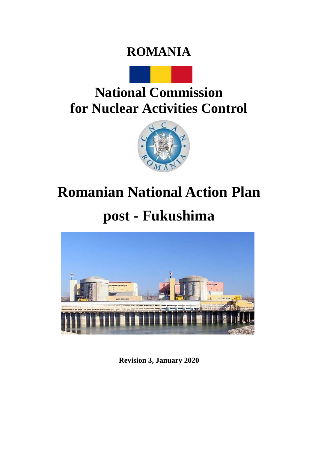### **ROMANIA**



## **National Commission for Nuclear Activities Control**



# **Romanian National Action Plan**

## **post - Fukushima**



**Revision 3, January 2020**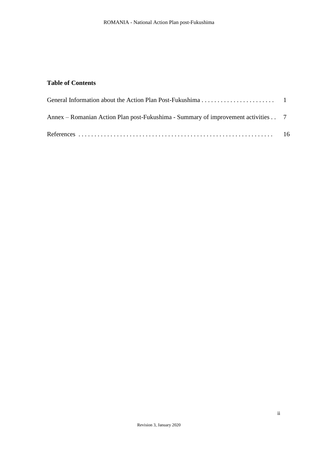#### **Table of Contents**

| Annex – Romanian Action Plan post-Fukushima - Summary of improvement activities 7 |  |
|-----------------------------------------------------------------------------------|--|
|                                                                                   |  |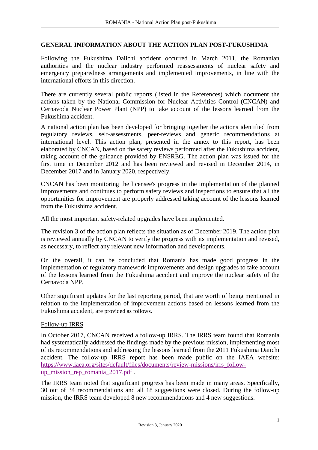#### **GENERAL INFORMATION ABOUT THE ACTION PLAN POST-FUKUSHIMA**

Following the Fukushima Daiichi accident occurred in March 2011, the Romanian authorities and the nuclear industry performed reassessments of nuclear safety and emergency preparedness arrangements and implemented improvements, in line with the international efforts in this direction.

There are currently several public reports (listed in the References) which document the actions taken by the National Commission for Nuclear Activities Control (CNCAN) and Cernavoda Nuclear Power Plant (NPP) to take account of the lessons learned from the Fukushima accident.

A national action plan has been developed for bringing together the actions identified from regulatory reviews, self-assessments, peer-reviews and generic recommendations at international level. This action plan, presented in the annex to this report, has been elaborated by CNCAN, based on the safety reviews performed after the Fukushima accident, taking account of the guidance provided by ENSREG. The action plan was issued for the first time in December 2012 and has been reviewed and revised in December 2014, in December 2017 and in January 2020, respectively.

CNCAN has been monitoring the licensee's progress in the implementation of the planned improvements and continues to perform safety reviews and inspections to ensure that all the opportunities for improvement are properly addressed taking account of the lessons learned from the Fukushima accident.

All the most important safety-related upgrades have been implemented.

The revision 3 of the action plan reflects the situation as of December 2019. The action plan is reviewed annually by CNCAN to verify the progress with its implementation and revised, as necessary, to reflect any relevant new information and developments.

On the overall, it can be concluded that Romania has made good progress in the implementation of regulatory framework improvements and design upgrades to take account of the lessons learned from the Fukushima accident and improve the nuclear safety of the Cernavoda NPP.

Other significant updates for the last reporting period, that are worth of being mentioned in relation to the implementation of improvement actions based on lessons learned from the Fukushima accident, are provided as follows.

#### Follow-up IRRS

In October 2017, CNCAN received a follow-up IRRS. The IRRS team found that Romania had systematically addressed the findings made by the previous mission, implementing most of its recommendations and addressing the lessons learned from the 2011 Fukushima Daiichi accident. The follow-up IRRS report has been made public on the IAEA website: [https://www.iaea.org/sites/default/files/documents/review-missions/irrs\\_follow](https://www.iaea.org/sites/default/files/documents/review-missions/irrs_follow-up_mission_rep_romania_2017.pdf)[up\\_mission\\_rep\\_romania\\_2017.pdf](https://www.iaea.org/sites/default/files/documents/review-missions/irrs_follow-up_mission_rep_romania_2017.pdf) .

The IRRS team noted that significant progress has been made in many areas. Specifically, 30 out of 34 recommendations and all 18 suggestions were closed. During the follow-up mission, the IRRS team developed 8 new recommendations and 4 new suggestions.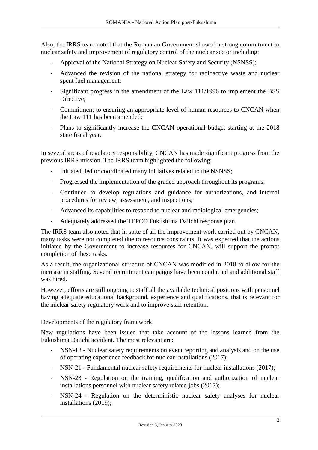Also, the IRRS team noted that the Romanian Government showed a strong commitment to nuclear safety and improvement of regulatory control of the nuclear sector including;

- Approval of the National Strategy on Nuclear Safety and Security (NSNSS);
- Advanced the revision of the national strategy for radioactive waste and nuclear spent fuel management;
- Significant progress in the amendment of the Law 111/1996 to implement the BSS Directive:
- Commitment to ensuring an appropriate level of human resources to CNCAN when the Law 111 has been amended;
- Plans to significantly increase the CNCAN operational budget starting at the 2018 state fiscal year.

In several areas of regulatory responsibility, CNCAN has made significant progress from the previous IRRS mission. The IRRS team highlighted the following:

- Initiated, led or coordinated many initiatives related to the NSNSS;
- Progressed the implementation of the graded approach throughout its programs;
- Continued to develop regulations and guidance for authorizations, and internal procedures for review, assessment, and inspections;
- Advanced its capabilities to respond to nuclear and radiological emergencies;
- Adequately addressed the TEPCO Fukushima Daiichi response plan.

The IRRS team also noted that in spite of all the improvement work carried out by CNCAN, many tasks were not completed due to resource constraints. It was expected that the actions initiated by the Government to increase resources for CNCAN, will support the prompt completion of these tasks.

As a result, the organizational structure of CNCAN was modified in 2018 to allow for the increase in staffing. Several recruitment campaigns have been conducted and additional staff was hired.

However, efforts are still ongoing to staff all the available technical positions with personnel having adequate educational background, experience and qualifications, that is relevant for the nuclear safety regulatory work and to improve staff retention.

#### Developments of the regulatory framework

New regulations have been issued that take account of the lessons learned from the Fukushima Daiichi accident. The most relevant are:

- NSN-18 Nuclear safety requirements on event reporting and analysis and on the use of operating experience feedback for nuclear installations (2017);
- NSN-21 Fundamental nuclear safety requirements for nuclear installations (2017);
- NSN-23 Regulation on the training, qualification and authorization of nuclear installations personnel with nuclear safety related jobs (2017);
- NSN-24 Regulation on the deterministic nuclear safety analyses for nuclear installations (2019);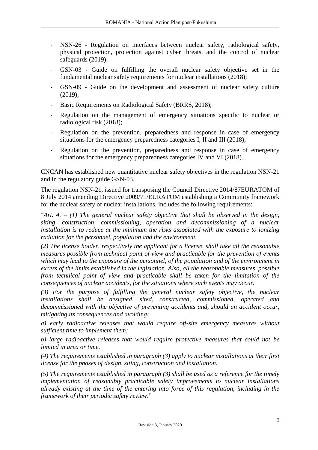- NSN-26 Regulation on interfaces between nuclear safety, radiological safety, physical protection, protection against cyber threats, and the control of nuclear safeguards (2019);
- GSN-03 Guide on fulfilling the overall nuclear safety objective set in the fundamental nuclear safety requirements for nuclear installations (2018);
- GSN-09 Guide on the development and assessment of nuclear safety culture (2019);
- Basic Requirements on Radiological Safety (BRRS, 2018);
- Regulation on the management of emergency situations specific to nuclear or radiological risk (2018);
- Regulation on the prevention, preparedness and response in case of emergency situations for the emergency preparedness categories I, II and III (2018);
- Regulation on the prevention, preparedness and response in case of emergency situations for the emergency preparedness categories IV and VI (2018).

CNCAN has established new quantitative nuclear safety objectives in the regulation NSN-21 and in the regulatory guide GSN-03.

The regulation NSN-21, issued for transposing the Council Directive 2014/87EURATOM of 8 July 2014 amending Directive 2009/71/EURATOM establishing a Community framework for the nuclear safety of nuclear installations, includes the following requirements:

"*Art. 4. – (1) The general nuclear safety objective that shall be observed in the design, siting, construction, commissioning, operation and decommissioning of a nuclear installation is to reduce at the minimum the risks associated with the exposure to ionizing radiation for the personnel, population and the environment.* 

*(2) The license holder, respectively the applicant for a license, shall take all the reasonable measures possible from technical point of view and practicable for the prevention of events which may lead to the exposure of the personnel, of the population and of the environment in excess of the limits established in the legislation. Also, all the reasonable measures, possible from technical point of view and practicable shall be taken for the limitation of the consequences of nuclear accidents, for the situations where such events may occur.* 

*(3) For the purpose of fulfilling the general nuclear safety objective, the nuclear installations shall be designed, sited, constructed, commissioned, operated and decommissioned with the objective of preventing accidents and, should an accident occur, mitigating its consequences and avoiding:*

*a) early radioactive releases that would require off-site emergency measures without sufficient time to implement them;*

*b) large radioactive releases that would require protective measures that could not be limited in area or time.* 

*(4) The requirements established in paragraph (3) apply to nuclear installations at their first license for the phases of design, siting, construction and installation.*

*(5) The requirements established in paragraph (3) shall be used as a reference for the timely implementation of reasonably practicable safety improvements to nuclear installations already existing at the time of the entering into force of this regulation, including in the framework of their periodic safety review.*"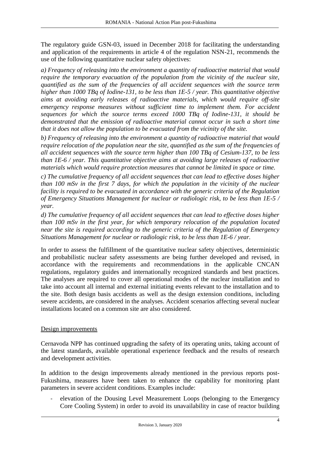The regulatory guide GSN-03, issued in December 2018 for facilitating the understanding and application of the requirements in article 4 of the regulation NSN-21, recommends the use of the following quantitative nuclear safety objectives:

*a) Frequency of releasing into the environment a quantity of radioactive material that would require the temporary evacuation of the population from the vicinity of the nuclear site, quantified as the sum of the frequencies of all accident sequences with the source term higher than 1000 TBq of Iodine-131, to be less than 1E-5 / year. This quantitative objective aims at avoiding early releases of radioactive materials, which would require off-site emergency response measures without sufficient time to implement them. For accident sequences for which the source terms exceed 1000 TBq of Iodine-131, it should be demonstrated that the emission of radioactive material cannot occur in such a short time that it does not allow the population to be evacuated from the vicinity of the site.* 

*b) Frequency of releasing into the environment a quantity of radioactive material that would require relocation of the population near the site, quantified as the sum of the frequencies of all accident sequences with the source term higher than 100 TBq of Cesium-137, to be less than 1E-6 / year. This quantitative objective aims at avoiding large releases of radioactive materials which would require protection measures that cannot be limited in space or time.* 

*c) The cumulative frequency of all accident sequences that can lead to effective doses higher than 100 mSv in the first 7 days, for which the population in the vicinity of the nuclear facility is required to be evacuated in accordance with the generic criteria of the Regulation of Emergency Situations Management for nuclear or radiologic risk, to be less than 1E-5 / year.* 

*d) The cumulative frequency of all accident sequences that can lead to effective doses higher than 100 mSv in the first year, for which temporary relocation of the population located near the site is required according to the generic criteria of the Regulation of Emergency Situations Management for nuclear or radiologic risk, to be less than 1E-6 / year.* 

In order to assess the fulfillment of the quantitative nuclear safety objectives, deterministic and probabilistic nuclear safety assessments are being further developed and revised, in accordance with the requirements and recommendations in the applicable CNCAN regulations, regulatory guides and internationally recognized standards and best practices. The analyses are required to cover all operational modes of the nuclear installation and to take into account all internal and external initiating events relevant to the installation and to the site. Both design basis accidents as well as the design extension conditions, including severe accidents, are considered in the analyses. Accident scenarios affecting several nuclear installations located on a common site are also considered.

#### Design improvements

Cernavoda NPP has continued upgrading the safety of its operating units, taking account of the latest standards, available operational experience feedback and the results of research and development activities.

In addition to the design improvements already mentioned in the previous reports post-Fukushima, measures have been taken to enhance the capability for monitoring plant parameters in severe accident conditions. Examples include:

- elevation of the Dousing Level Measurement Loops (belonging to the Emergency Core Cooling System) in order to avoid its unavailability in case of reactor building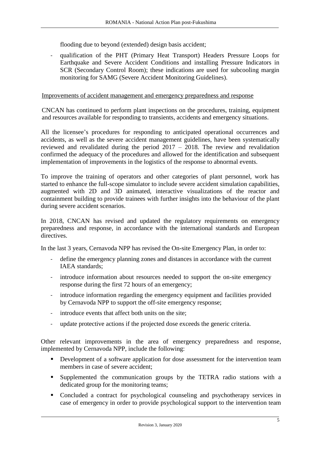flooding due to beyond (extended) design basis accident;

- qualification of the PHT (Primary Heat Transport) Headers Pressure Loops for Earthquake and Severe Accident Conditions and installing Pressure Indicators in SCR (Secondary Control Room); these indications are used for subcooling margin monitoring for SAMG (Severe Accident Monitoring Guidelines).

#### Improvements of accident management and emergency preparedness and response

CNCAN has continued to perform plant inspections on the procedures, training, equipment and resources available for responding to transients, accidents and emergency situations.

All the licensee's procedures for responding to anticipated operational occurrences and accidents, as well as the severe accident management guidelines, have been systematically reviewed and revalidated during the period 2017 – 2018. The review and revalidation confirmed the adequacy of the procedures and allowed for the identification and subsequent implementation of improvements in the logistics of the response to abnormal events.

To improve the training of operators and other categories of plant personnel, work has started to enhance the full-scope simulator to include severe accident simulation capabilities, augmented with 2D and 3D animated, interactive visualizations of the reactor and containment building to provide trainees with further insights into the behaviour of the plant during severe accident scenarios.

In 2018, CNCAN has revised and updated the regulatory requirements on emergency preparedness and response, in accordance with the international standards and European directives.

In the last 3 years, Cernavoda NPP has revised the On-site Emergency Plan, in order to:

- define the emergency planning zones and distances in accordance with the current IAEA standards;
- introduce information about resources needed to support the on-site emergency response during the first 72 hours of an emergency;
- introduce information regarding the emergency equipment and facilities provided by Cernavoda NPP to support the off-site emergency response;
- introduce events that affect both units on the site:
- update protective actions if the projected dose exceeds the generic criteria.

Other relevant improvements in the area of emergency preparedness and response, implemented by Cernavoda NPP, include the following:

- Development of a software application for dose assessment for the intervention team members in case of severe accident;
- Supplemented the communication groups by the TETRA radio stations with a dedicated group for the monitoring teams;
- Concluded a contract for psychological counseling and psychotherapy services in case of emergency in order to provide psychological support to the intervention team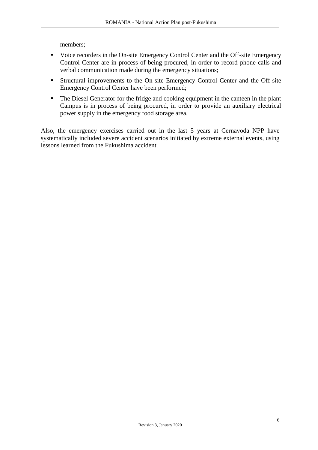members;

- Voice recorders in the On-site Emergency Control Center and the Off-site Emergency Control Center are in process of being procured, in order to record phone calls and verbal communication made during the emergency situations;
- Structural improvements to the On-site Emergency Control Center and the Off-site Emergency Control Center have been performed;
- The Diesel Generator for the fridge and cooking equipment in the canteen in the plant Campus is in process of being procured, in order to provide an auxiliary electrical power supply in the emergency food storage area.

Also, the emergency exercises carried out in the last 5 years at Cernavoda NPP have systematically included severe accident scenarios initiated by extreme external events, using lessons learned from the Fukushima accident.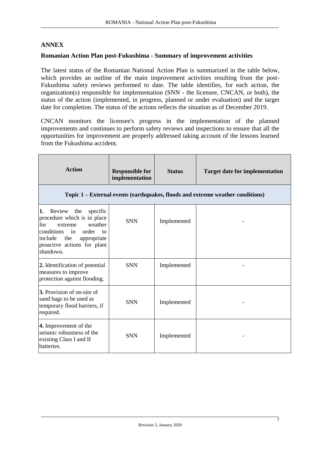#### **ANNEX**

#### **Romanian Action Plan post-Fukushima - Summary of improvement activities**

The latest status of the Romanian National Action Plan is summarized in the table below, which provides an outline of the main improvement activities resulting from the post-Fukushima safety reviews performed to date. The table identifies, for each action, the organization(s) responsible for implementation (SNN - the licensee, CNCAN, or both), the status of the action (implemented, in progress, planned or under evaluation) and the target date for completion. The status of the actions reflects the situation as of December 2019.

CNCAN monitors the licensee's progress in the implementation of the planned improvements and continues to perform safety reviews and inspections to ensure that all the opportunities for improvement are properly addressed taking account of the lessons learned from the Fukushima accident.

| <b>Action</b>                                                                                                                                                                                                           | <b>Responsible for</b><br>implementation | <b>Status</b> | <b>Target date for implementation</b>                                          |
|-------------------------------------------------------------------------------------------------------------------------------------------------------------------------------------------------------------------------|------------------------------------------|---------------|--------------------------------------------------------------------------------|
|                                                                                                                                                                                                                         |                                          |               | Topic 1 – External events (earthquakes, floods and extreme weather conditions) |
| 1.<br>Review<br>the<br>specific<br>procedure which is in place<br>weather<br>for<br>extreme<br>conditions<br>order<br>in<br>$\overline{f}$<br>include<br>the<br>appropriate<br>proactive actions for plant<br>shutdown. | <b>SNN</b>                               | Implemented   |                                                                                |
| 2. Identification of potential<br>measures to improve<br>protection against flooding.                                                                                                                                   | <b>SNN</b>                               | Implemented   |                                                                                |
| <b>3.</b> Provision of on-site of<br>sand bags to be used as<br>temporary flood barriers, if<br>required.                                                                                                               | <b>SNN</b>                               | Implemented   |                                                                                |
| 4. Improvement of the<br>seismic robustness of the<br>existing Class I and II<br>batteries.                                                                                                                             | <b>SNN</b>                               | Implemented   |                                                                                |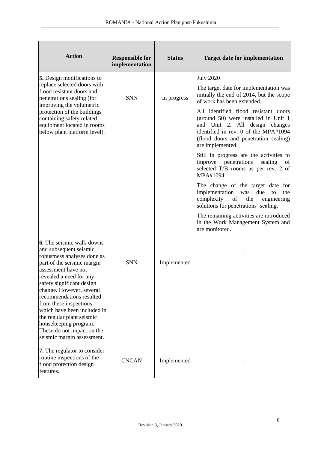| <b>Action</b>                                                                                                                                                                                                                                                                                                                                                                                                                              | <b>Responsible for</b><br>implementation | <b>Status</b> | <b>Target date for implementation</b>                                                                                                                                                                               |
|--------------------------------------------------------------------------------------------------------------------------------------------------------------------------------------------------------------------------------------------------------------------------------------------------------------------------------------------------------------------------------------------------------------------------------------------|------------------------------------------|---------------|---------------------------------------------------------------------------------------------------------------------------------------------------------------------------------------------------------------------|
| <b>5.</b> Design modifications to<br>replace selected doors with<br>flood resistant doors and<br>penetrations sealing (for                                                                                                                                                                                                                                                                                                                 | <b>SNN</b>                               | In progress   | <b>July 2020</b><br>The target date for implementation was<br>initially the end of 2014, but the scope<br>of work has been extended.                                                                                |
| improving the volumetric<br>protection of the buildings<br>containing safety related<br>equipment located in rooms<br>below plant platform level).                                                                                                                                                                                                                                                                                         |                                          |               | All identified flood resistant doors<br>(around 50) were installed in Unit 1<br>and Unit 2. All design changes<br>identified in rev. 0 of the MPA#1094<br>(flood doors and penetration sealing)<br>are implemented. |
|                                                                                                                                                                                                                                                                                                                                                                                                                                            |                                          |               | Still in progress are the activities to<br>improve penetrations<br>sealing<br>of<br>selected T/B rooms as per rev. 2 of<br>MPA#1094.                                                                                |
|                                                                                                                                                                                                                                                                                                                                                                                                                                            |                                          |               | The change of the target date for<br>implementation<br>due<br>was<br>the<br>to<br>complexity<br>of<br>the<br>engineering<br>solutions for penetrations' sealing.                                                    |
|                                                                                                                                                                                                                                                                                                                                                                                                                                            |                                          |               | The remaining activities are introduced<br>in the Work Management System and<br>are monitored.                                                                                                                      |
| <b>6.</b> The seismic walk-downs<br>and subsequent seismic<br>robustness analyses done as<br>part of the seismic margin<br>assessment have not<br>revealed a need for any<br>safety significant design<br>change. However, several<br>recommendations resulted<br>from these inspections,<br>which have been included in<br>the regular plant seismic<br>housekeeping program.<br>These do not impact on the<br>seismic margin assessment. | <b>SNN</b>                               | Implemented   |                                                                                                                                                                                                                     |
| 7. The regulator to consider<br>routine inspections of the<br>flood protection design<br>features.                                                                                                                                                                                                                                                                                                                                         | <b>CNCAN</b>                             | Implemented   |                                                                                                                                                                                                                     |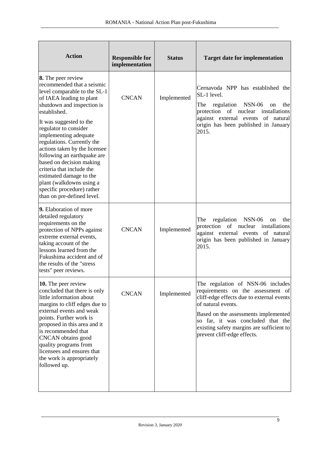| <b>Action</b>                                                                                                                                                                                                                                                                                                                                                                                                                                                                                                     | <b>Responsible for</b><br>implementation | <b>Status</b> | <b>Target date for implementation</b>                                                                                                                                                                                                                                                              |
|-------------------------------------------------------------------------------------------------------------------------------------------------------------------------------------------------------------------------------------------------------------------------------------------------------------------------------------------------------------------------------------------------------------------------------------------------------------------------------------------------------------------|------------------------------------------|---------------|----------------------------------------------------------------------------------------------------------------------------------------------------------------------------------------------------------------------------------------------------------------------------------------------------|
| 8. The peer review<br>recommended that a seismic<br>level comparable to the SL-1<br>of IAEA leading to plant<br>shutdown and inspection is<br>established.<br>It was suggested to the<br>regulator to consider<br>implementing adequate<br>regulations. Currently the<br>actions taken by the licensee<br>following an earthquake are<br>based on decision making<br>criteria that include the<br>estimated damage to the<br>plant (walkdowns using a<br>specific procedure) rather<br>than on pre-defined level. | <b>CNCAN</b>                             | Implemented   | Cernavoda NPP has established the<br>SL-1 level.<br>regulation<br>The<br><b>NSN-06</b><br>the<br>on<br>of nuclear<br>protection<br>installations<br>against external events of natural<br>origin has been published in January<br>2015.                                                            |
| 9. Elaboration of more<br>detailed regulatory<br>requirements on the<br>protection of NPPs against<br>extreme external events,<br>taking account of the<br>lessons learned from the<br>Fukushima accident and of<br>the results of the "stress"<br>tests" peer reviews.                                                                                                                                                                                                                                           | <b>CNCAN</b>                             | Implemented   | regulation<br>The<br><b>NSN-06</b><br>the<br>on<br>protection of nuclear<br>installations<br>against external events of natural<br>origin has been published in January<br>2015.                                                                                                                   |
| 10. The peer review<br>concluded that there is only<br>little information about<br>margins to cliff edges due to<br>external events and weak<br>points. Further work is<br>proposed in this area and it<br>is recommended that<br>CNCAN obtains good<br>quality programs from<br>licensees and ensures that<br>the work is appropriately<br>followed up.                                                                                                                                                          | <b>CNCAN</b>                             | Implemented   | The regulation of NSN-06 includes<br>requirements on the assessment of<br>cliff-edge effects due to external events<br>of natural events.<br>Based on the assessments implemented<br>so far, it was concluded that the<br>existing safety margins are sufficient to<br>prevent cliff-edge effects. |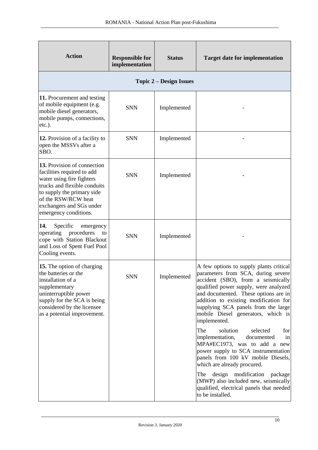| <b>Action</b>                                                                                                                                                                                                                    | <b>Responsible for</b><br>implementation | <b>Status</b>                  | <b>Target date for implementation</b>                                                                                                                                                                                                                                                                                                                                                                                                                                                                                                                                                                                                                                                            |
|----------------------------------------------------------------------------------------------------------------------------------------------------------------------------------------------------------------------------------|------------------------------------------|--------------------------------|--------------------------------------------------------------------------------------------------------------------------------------------------------------------------------------------------------------------------------------------------------------------------------------------------------------------------------------------------------------------------------------------------------------------------------------------------------------------------------------------------------------------------------------------------------------------------------------------------------------------------------------------------------------------------------------------------|
|                                                                                                                                                                                                                                  |                                          | <b>Topic 2 – Design Issues</b> |                                                                                                                                                                                                                                                                                                                                                                                                                                                                                                                                                                                                                                                                                                  |
| 11. Procurement and testing<br>of mobile equipment (e.g.<br>mobile diesel generators,<br>mobile pumps, connections,<br>$etc.$ ).                                                                                                 | <b>SNN</b>                               | Implemented                    |                                                                                                                                                                                                                                                                                                                                                                                                                                                                                                                                                                                                                                                                                                  |
| 12. Provision of a facility to<br>open the MSSVs after a<br>SBO.                                                                                                                                                                 | <b>SNN</b>                               | Implemented                    |                                                                                                                                                                                                                                                                                                                                                                                                                                                                                                                                                                                                                                                                                                  |
| 13. Provision of connection<br>facilities required to add<br>water using fire fighters<br>trucks and flexible conduits<br>to supply the primary side<br>of the RSW/RCW heat<br>exchangers and SGs under<br>emergency conditions. | <b>SNN</b>                               | Implemented                    |                                                                                                                                                                                                                                                                                                                                                                                                                                                                                                                                                                                                                                                                                                  |
| 14.<br>Specific<br>emergency<br>procedures<br>operating<br>to<br>cope with Station Blackout<br>and Loss of Spent Fuel Pool<br>Cooling events.                                                                                    | <b>SNN</b>                               | Implemented                    |                                                                                                                                                                                                                                                                                                                                                                                                                                                                                                                                                                                                                                                                                                  |
| <b>15.</b> The option of charging<br>the batteries or the<br>installation of a<br>supplementary<br>uninterruptible power<br>supply for the SCA is being<br>considered by the licensee<br>as a potential improvement.             | <b>SNN</b>                               | Implemented                    | A few options to supply plants critical<br>parameters from SCA, during severe<br>accident (SBO), from a seismically<br>qualified power supply, were analyzed<br>and documented. These options are in<br>addition to existing modification for<br>supplying SCA panels from the large<br>mobile Diesel generators, which is<br>implemented.<br>The<br>solution<br>selected<br>for<br>implementation,<br>documented<br>in<br>MPA#EC1973, was to add a new<br>power supply to SCA instrumentation<br>panels from 100 kV mobile Diesels,<br>which are already procured.<br>design modification<br>The<br>package<br>(MWP) also included new, seismically<br>qualified, electrical panels that needed |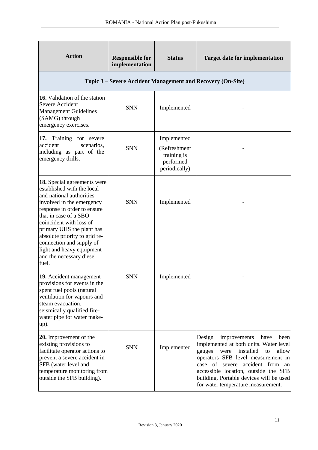| <b>Action</b>                                                                                                                                                                                                                                                                                                                                                     | <b>Responsible for</b><br>implementation | <b>Status</b>                                                            | <b>Target date for implementation</b>                                                                                                                                                                                                                                                                                                     |
|-------------------------------------------------------------------------------------------------------------------------------------------------------------------------------------------------------------------------------------------------------------------------------------------------------------------------------------------------------------------|------------------------------------------|--------------------------------------------------------------------------|-------------------------------------------------------------------------------------------------------------------------------------------------------------------------------------------------------------------------------------------------------------------------------------------------------------------------------------------|
|                                                                                                                                                                                                                                                                                                                                                                   |                                          |                                                                          | Topic 3 – Severe Accident Management and Recovery (On-Site)                                                                                                                                                                                                                                                                               |
| 16. Validation of the station<br>Severe Accident<br><b>Management Guidelines</b><br>(SAMG) through<br>emergency exercises.                                                                                                                                                                                                                                        | <b>SNN</b>                               | Implemented                                                              |                                                                                                                                                                                                                                                                                                                                           |
| 17. Training for severe<br>accident<br>scenarios.<br>including as part of the<br>emergency drills.                                                                                                                                                                                                                                                                | <b>SNN</b>                               | Implemented<br>(Refreshment<br>training is<br>performed<br>periodically) |                                                                                                                                                                                                                                                                                                                                           |
| 18. Special agreements were<br>established with the local<br>and national authorities<br>involved in the emergency<br>response in order to ensure<br>that in case of a SBO<br>coincident with loss of<br>primary UHS the plant has<br>absolute priority to grid re-<br>connection and supply of<br>light and heavy equipment<br>and the necessary diesel<br>fuel. | <b>SNN</b>                               | Implemented                                                              |                                                                                                                                                                                                                                                                                                                                           |
| 19. Accident management<br>provisions for events in the<br>spent fuel pools (natural<br>ventilation for vapours and<br>steam evacuation,<br>seismically qualified fire-<br>water pipe for water make-<br>up).                                                                                                                                                     | <b>SNN</b>                               | Implemented                                                              |                                                                                                                                                                                                                                                                                                                                           |
| 20. Improvement of the<br>existing provisions to<br>facilitate operator actions to<br>prevent a severe accident in<br>SFB (water level and<br>temperature monitoring from<br>outside the SFB building).                                                                                                                                                           | <b>SNN</b>                               | Implemented                                                              | have<br>Design<br>improvements<br>been<br>implemented at both units. Water level<br>installed<br>allow<br>to<br>gauges<br>were<br>operators SFB level measurement in<br>accident from<br>case of<br>severe<br>an<br>accessible location, outside the SFB<br>building. Portable devices will be used<br>for water temperature measurement. |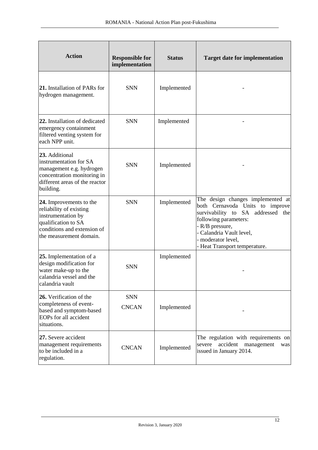| <b>Action</b>                                                                                                                                             | <b>Responsible for</b><br>implementation | <b>Status</b> | <b>Target date for implementation</b>                                                                                                                                                                                                    |
|-----------------------------------------------------------------------------------------------------------------------------------------------------------|------------------------------------------|---------------|------------------------------------------------------------------------------------------------------------------------------------------------------------------------------------------------------------------------------------------|
| <b>21.</b> Installation of PARs for<br>hydrogen management.                                                                                               | <b>SNN</b>                               | Implemented   |                                                                                                                                                                                                                                          |
| 22. Installation of dedicated<br>emergency containment<br>filtered venting system for<br>each NPP unit.                                                   | <b>SNN</b>                               | Implemented   |                                                                                                                                                                                                                                          |
| 23. Additional<br>instrumentation for SA<br>management e.g. hydrogen<br>concentration monitoring in<br>different areas of the reactor<br>building.        | <b>SNN</b>                               | Implemented   |                                                                                                                                                                                                                                          |
| 24. Improvements to the<br>reliability of existing<br>instrumentation by<br>qualification to SA<br>conditions and extension of<br>the measurement domain. | <b>SNN</b>                               | Implemented   | The design changes implemented at<br>both Cernavoda Units to improve<br>survivability to SA addressed the<br>following parameters:<br>- R/B pressure,<br>- Calandria Vault level,<br>- moderator level,<br>- Heat Transport temperature. |
| 25. Implementation of a<br>design modification for<br>water make-up to the<br>calandria vessel and the<br>calandria vault                                 | <b>SNN</b>                               | Implemented   |                                                                                                                                                                                                                                          |
| 26. Verification of the<br>completeness of event-<br>based and symptom-based<br>EOPs for all accident<br>situations.                                      | <b>SNN</b><br><b>CNCAN</b>               | Implemented   |                                                                                                                                                                                                                                          |
| 27. Severe accident<br>management requirements<br>to be included in a<br>regulation.                                                                      | <b>CNCAN</b>                             | Implemented   | The regulation with requirements on<br>accident<br>severe<br>management<br>was<br>issued in January 2014.                                                                                                                                |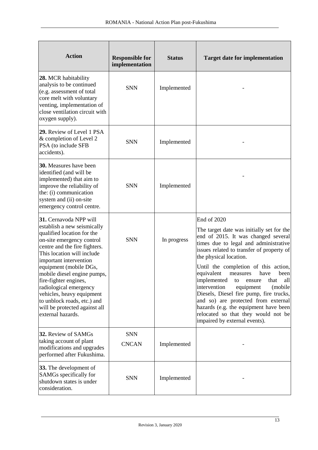| <b>Action</b>                                                                                                                                                                                                                                                                                                                                                                                                                           | <b>Responsible for</b><br>implementation | <b>Status</b> | <b>Target date for implementation</b>                                                                                                                                                                                                                                                                                                                                                                                                                                                                                                                                           |
|-----------------------------------------------------------------------------------------------------------------------------------------------------------------------------------------------------------------------------------------------------------------------------------------------------------------------------------------------------------------------------------------------------------------------------------------|------------------------------------------|---------------|---------------------------------------------------------------------------------------------------------------------------------------------------------------------------------------------------------------------------------------------------------------------------------------------------------------------------------------------------------------------------------------------------------------------------------------------------------------------------------------------------------------------------------------------------------------------------------|
| 28. MCR habitability<br>analysis to be continued<br>(e.g. assessment of total<br>core melt with voluntary<br>venting, implementation of<br>close ventilation circuit with<br>oxygen supply).                                                                                                                                                                                                                                            | <b>SNN</b>                               | Implemented   |                                                                                                                                                                                                                                                                                                                                                                                                                                                                                                                                                                                 |
| 29. Review of Level 1 PSA<br>& completion of Level 2<br>PSA (to include SFB<br>accidents).                                                                                                                                                                                                                                                                                                                                              | <b>SNN</b>                               | Implemented   |                                                                                                                                                                                                                                                                                                                                                                                                                                                                                                                                                                                 |
| <b>30.</b> Measures have been<br>identified (and will be<br>implemented) that aim to<br>improve the reliability of<br>the: (i) communication<br>system and (ii) on-site<br>emergency control centre.                                                                                                                                                                                                                                    | <b>SNN</b>                               | Implemented   |                                                                                                                                                                                                                                                                                                                                                                                                                                                                                                                                                                                 |
| 31. Cernavoda NPP will<br>establish a new seismically<br>qualified location for the<br>on-site emergency control<br>centre and the fire fighters.<br>This location will include<br>important intervention<br>equipment (mobile DGs,<br>mobile diesel engine pumps,<br>fire-fighter engines,<br>radiological emergency<br>vehicles, heavy equipment<br>to unblock roads, etc.) and<br>will be protected against all<br>external hazards. | <b>SNN</b>                               | In progress   | End of 2020<br>The target date was initially set for the<br>end of 2015. It was changed several<br>times due to legal and administrative<br>issues related to transfer of property of<br>the physical location.<br>Until the completion of this action,<br>equivalent<br>measures<br>have<br>been<br>implemented to ensure that all<br>intervention<br>equipment<br>(mobile)<br>Diesels, Diesel fire pump, fire trucks,<br>and so) are protected from external<br>hazards (e.g. the equipment have been<br>relocated so that they would not be<br>impaired by external events). |
| 32. Review of SAMGs<br>taking account of plant<br>modifications and upgrades<br>performed after Fukushima.                                                                                                                                                                                                                                                                                                                              | <b>SNN</b><br><b>CNCAN</b>               | Implemented   |                                                                                                                                                                                                                                                                                                                                                                                                                                                                                                                                                                                 |
| <b>33.</b> The development of<br>SAMGs specifically for<br>shutdown states is under<br>consideration.                                                                                                                                                                                                                                                                                                                                   | <b>SNN</b>                               | Implemented   |                                                                                                                                                                                                                                                                                                                                                                                                                                                                                                                                                                                 |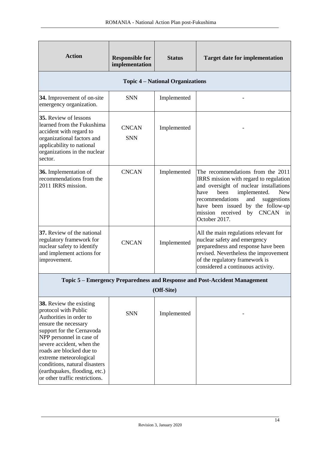| <b>Action</b>                                                                                                                                                                               | <b>Responsible for</b><br>implementation | <b>Status</b>                           | <b>Target date for implementation</b>                                                                                                                                                                                                                                                                              |
|---------------------------------------------------------------------------------------------------------------------------------------------------------------------------------------------|------------------------------------------|-----------------------------------------|--------------------------------------------------------------------------------------------------------------------------------------------------------------------------------------------------------------------------------------------------------------------------------------------------------------------|
|                                                                                                                                                                                             |                                          | <b>Topic 4 – National Organizations</b> |                                                                                                                                                                                                                                                                                                                    |
| 34. Improvement of on-site<br>emergency organization.                                                                                                                                       | <b>SNN</b>                               | Implemented                             |                                                                                                                                                                                                                                                                                                                    |
| <b>35.</b> Review of lessons<br>learned from the Fukushima<br>accident with regard to<br>organizational factors and<br>applicability to national<br>organizations in the nuclear<br>sector. | <b>CNCAN</b><br><b>SNN</b>               | Implemented                             |                                                                                                                                                                                                                                                                                                                    |
| 36. Implementation of<br>recommendations from the<br>2011 IRRS mission.                                                                                                                     | <b>CNCAN</b>                             | Implemented                             | The recommendations from the 2011<br>IRRS mission with regard to regulation<br>and oversight of nuclear installations<br>implemented.<br><b>New</b><br>been<br>have<br>recommendations<br>and<br>suggestions<br>have been issued by the follow-up<br><b>CNCAN</b><br>mission received<br>by<br>in<br>October 2017. |
| 37. Review of the national<br>regulatory framework for<br>nuclear safety to identify<br>and implement actions for<br>improvement.                                                           | <b>CNCAN</b>                             | Implemented                             | All the main regulations relevant for<br>nuclear safety and emergency<br>preparedness and response have been<br>revised. Nevertheless the improvement<br>of the regulatory framework is<br>considered a continuous activity.                                                                                       |
|                                                                                                                                                                                             |                                          |                                         | Topic 5 – Emergency Preparedness and Response and Post-Accident Management                                                                                                                                                                                                                                         |
|                                                                                                                                                                                             |                                          | (Off-Site)                              |                                                                                                                                                                                                                                                                                                                    |
| 38. Review the existing<br>protocol with Public<br>Authorities in order to<br>ensure the necessary<br>support for the Cernavoda<br>NPP personnel in case of<br>severe accident, when the    | <b>SNN</b>                               | Implemented                             |                                                                                                                                                                                                                                                                                                                    |

roads are blocked due to extreme meteorological conditions, natural disasters (earthquakes, flooding, etc.) or other traffic restrictions.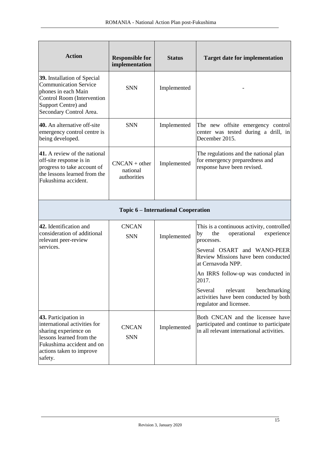| <b>Action</b>                                                                                                                                                                 | <b>Responsible for</b><br>implementation   | <b>Status</b>                              | <b>Target date for implementation</b>                                                                                     |
|-------------------------------------------------------------------------------------------------------------------------------------------------------------------------------|--------------------------------------------|--------------------------------------------|---------------------------------------------------------------------------------------------------------------------------|
| 39. Installation of Special<br><b>Communication Service</b><br>phones in each Main<br>Control Room (Intervention<br>Support Centre) and<br>Secondary Control Area.            | <b>SNN</b>                                 | Implemented                                |                                                                                                                           |
| 40. An alternative off-site<br>emergency control centre is<br>being developed.                                                                                                | <b>SNN</b>                                 | Implemented                                | The new offsite emergency control<br>center was tested during a drill, in<br>December 2015.                               |
| 41. A review of the national<br>off-site response is in<br>progress to take account of<br>the lessons learned from the<br>Fukushima accident.                                 | $CNCAN + other$<br>national<br>authorities | Implemented                                | The regulations and the national plan<br>for emergency preparedness and<br>response have been revised.                    |
|                                                                                                                                                                               |                                            | <b>Topic 6 – International Cooperation</b> |                                                                                                                           |
| 42. Identification and<br>consideration of additional<br>relevant peer-review<br>services.                                                                                    | <b>CNCAN</b><br><b>SNN</b>                 | Implemented                                | This is a continuous activity, controlled<br>operational<br>by<br>the<br>experience<br>processes.                         |
|                                                                                                                                                                               |                                            |                                            | Several OSART and WANO-PEER<br>Review Missions have been conducted<br>at Cernavoda NPP.                                   |
|                                                                                                                                                                               |                                            |                                            | An IRRS follow-up was conducted in<br>2017.                                                                               |
|                                                                                                                                                                               |                                            |                                            | Several<br>relevant<br>benchmarking<br>activities have been conducted by both<br>regulator and licensee.                  |
| 43. Participation in<br>international activities for<br>sharing experience on<br>lessons learned from the<br>Fukushima accident and on<br>actions taken to improve<br>safety. | <b>CNCAN</b><br><b>SNN</b>                 | Implemented                                | Both CNCAN and the licensee have<br>participated and continue to participate<br>in all relevant international activities. |